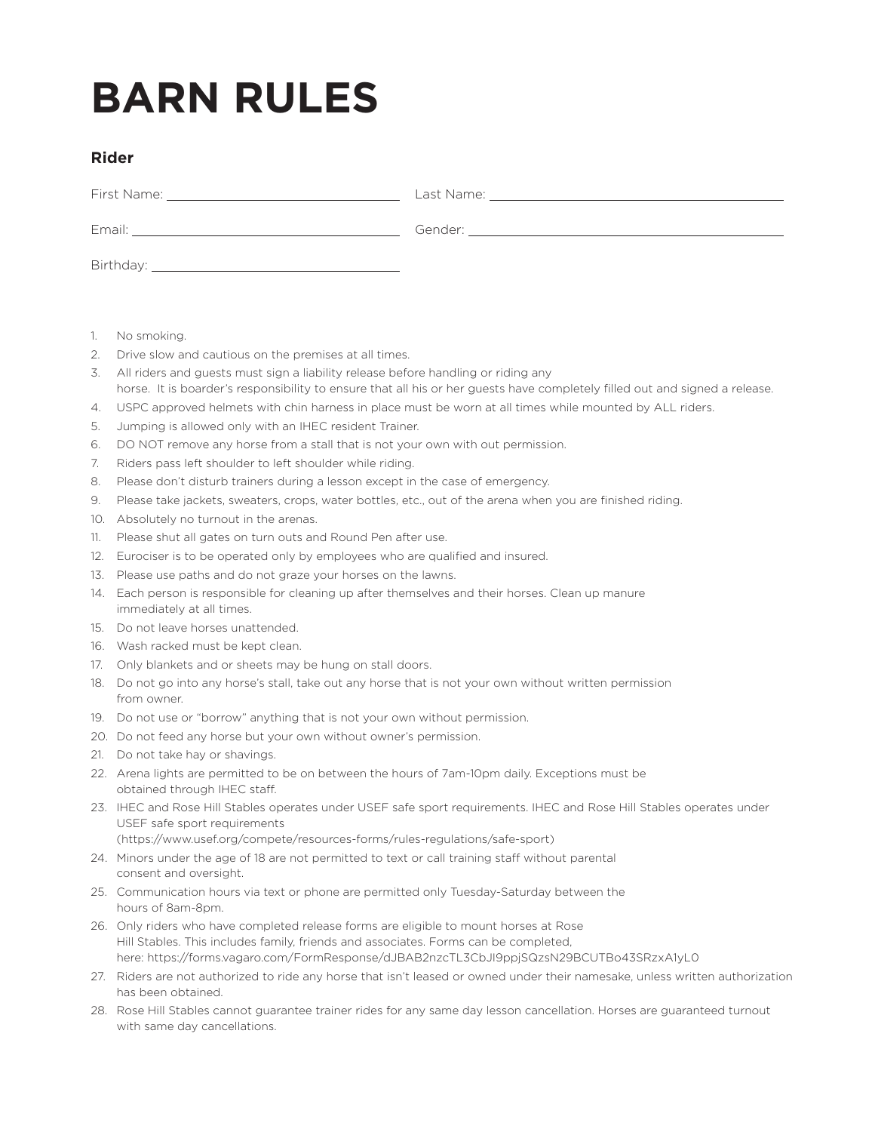## **BARN RULES**

## **Rider**

| Email:    | Gender: |
|-----------|---------|
| Birthday: |         |

- 1. No smoking.
- 2. Drive slow and cautious on the premises at all times.
- 3. All riders and guests must sign a liability release before handling or riding any horse. It is boarder's responsibility to ensure that all his or her guests have completely filled out and signed a release.
- 4. USPC approved helmets with chin harness in place must be worn at all times while mounted by ALL riders.
- 5. Jumping is allowed only with an IHEC resident Trainer.
- 6. DO NOT remove any horse from a stall that is not your own with out permission.
- 7. Riders pass left shoulder to left shoulder while riding.
- 8. Please don't disturb trainers during a lesson except in the case of emergency.
- 9. Please take jackets, sweaters, crops, water bottles, etc., out of the arena when you are finished riding.
- 10. Absolutely no turnout in the arenas.
- 11. Please shut all gates on turn outs and Round Pen after use.
- 12. Eurociser is to be operated only by employees who are qualified and insured.
- 13. Please use paths and do not graze your horses on the lawns.
- 14. Each person is responsible for cleaning up after themselves and their horses. Clean up manure immediately at all times.
- 15. Do not leave horses unattended.
- 16. Wash racked must be kept clean.
- 17. Only blankets and or sheets may be hung on stall doors.
- 18. Do not go into any horse's stall, take out any horse that is not your own without written permission from owner.
- 19. Do not use or "borrow" anything that is not your own without permission.
- 20. Do not feed any horse but your own without owner's permission.
- 21. Do not take hay or shavings.
- 22. Arena lights are permitted to be on between the hours of 7am-10pm daily. Exceptions must be obtained through IHEC staff.
- 23. IHEC and Rose Hill Stables operates under USEF safe sport requirements. IHEC and Rose Hill Stables operates under USEF safe sport requirements

(https://www.usef.org/compete/resources-forms/rules-regulations/safe-sport)

- 24. Minors under the age of 18 are not permitted to text or call training staff without parental consent and oversight.
- 25. Communication hours via text or phone are permitted only Tuesday-Saturday between the hours of 8am-8pm.
- 26. Only riders who have completed release forms are eligible to mount horses at Rose Hill Stables. This includes family, friends and associates. Forms can be completed, here: https://forms.vagaro.com/FormResponse/dJBAB2nzcTL3CbJI9ppjSQzsN29BCUTBo43SRzxA1yL0
- 27. Riders are not authorized to ride any horse that isn't leased or owned under their namesake, unless written authorization has been obtained.
- 28. Rose Hill Stables cannot guarantee trainer rides for any same day lesson cancellation. Horses are guaranteed turnout with same day cancellations.